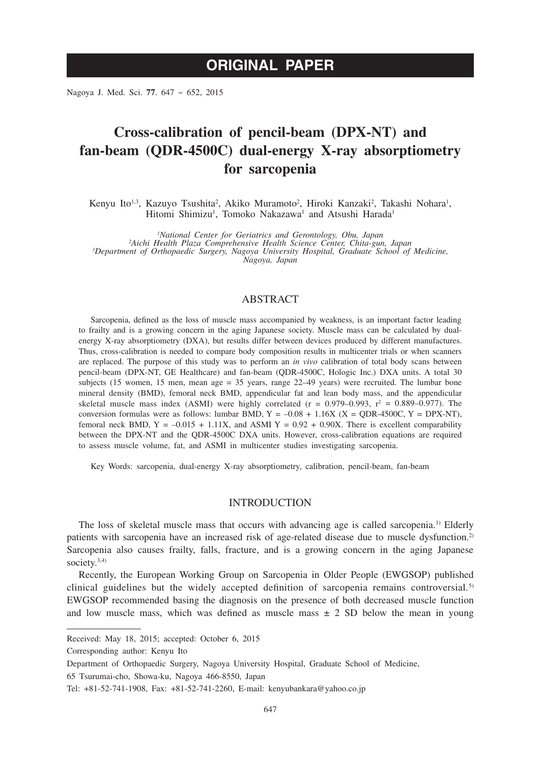# **ORIGINAL PAPER**

Nagoya J. Med. Sci. **77**. 647 ~ 652, 2015

# **Cross-calibration of pencil-beam (DPX-NT) and fan-beam (QDR-4500C) dual-energy X-ray absorptiometry for sarcopenia**

Kenyu Ito<sup>1,3</sup>, Kazuyo Tsushita<sup>2</sup>, Akiko Muramoto<sup>2</sup>, Hiroki Kanzaki<sup>2</sup>, Takashi Nohara<sup>1</sup>, Hitomi Shimizu<sup>1</sup>, Tomoko Nakazawa<sup>1</sup> and Atsushi Harada<sup>1</sup>

*1 National Center for Geriatrics and Gerontology, Obu, Japan <sup>2</sup> Aichi Health Plaza Comprehensive Health Science Center, Chita-gun, Japan <sup>3</sup> Department of Orthopaedic Surgery, Nagoya University Hospital, Graduate School of Medicine, Nagoya, Japan*

# ABSTRACT

Sarcopenia, defined as the loss of muscle mass accompanied by weakness, is an important factor leading to frailty and is a growing concern in the aging Japanese society. Muscle mass can be calculated by dualenergy X-ray absorptiometry (DXA), but results differ between devices produced by different manufactures. Thus, cross-calibration is needed to compare body composition results in multicenter trials or when scanners are replaced. The purpose of this study was to perform an *in vivo* calibration of total body scans between pencil-beam (DPX-NT, GE Healthcare) and fan-beam (QDR-4500C, Hologic Inc.) DXA units. A total 30 subjects (15 women, 15 men, mean age = 35 years, range 22–49 years) were recruited. The lumbar bone mineral density (BMD), femoral neck BMD, appendicular fat and lean body mass, and the appendicular skeletal muscle mass index (ASMI) were highly correlated  $(r = 0.979-0.993, r^2 = 0.889-0.977)$ . The conversion formulas were as follows: lumbar BMD,  $Y = -0.08 + 1.16X$  ( $X = \text{ODR-4500C}$ ,  $Y = \text{DPX-NT}$ ), femoral neck BMD,  $Y = -0.015 + 1.11X$ , and ASMI  $Y = 0.92 + 0.90X$ . There is excellent comparability between the DPX-NT and the QDR-4500C DXA units. However, cross-calibration equations are required to assess muscle volume, fat, and ASMI in multicenter studies investigating sarcopenia.

Key Words: sarcopenia, dual-energy X-ray absorptiometry, calibration, pencil-beam, fan-beam

### INTRODUCTION

The loss of skeletal muscle mass that occurs with advancing age is called sarcopenia.1) Elderly patients with sarcopenia have an increased risk of age-related disease due to muscle dysfunction.2) Sarcopenia also causes frailty, falls, fracture, and is a growing concern in the aging Japanese society. $3,4$ )

Recently, the European Working Group on Sarcopenia in Older People (EWGSOP) published clinical guidelines but the widely accepted definition of sarcopenia remains controversial.<sup>5)</sup> EWGSOP recommended basing the diagnosis on the presence of both decreased muscle function and low muscle mass, which was defined as muscle mass  $\pm$  2 SD below the mean in young

Received: May 18, 2015; accepted: October 6, 2015

Corresponding author: Kenyu Ito

Department of Orthopaedic Surgery, Nagoya University Hospital, Graduate School of Medicine,

<sup>65</sup> Tsurumai-cho, Showa-ku, Nagoya 466-8550, Japan

Tel: +81-52-741-1908, Fax: +81-52-741-2260, E-mail: kenyubankara@yahoo.co.jp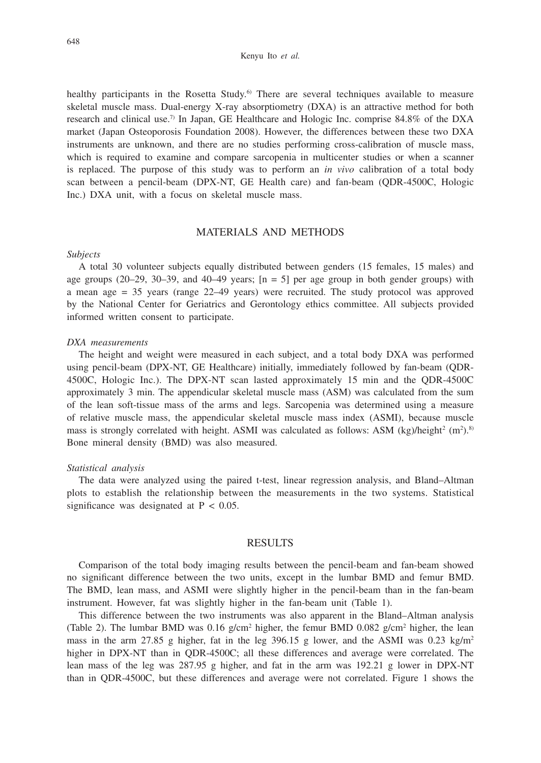#### Kenyu Ito *et al.*

healthy participants in the Rosetta Study.<sup>6</sup> There are several techniques available to measure skeletal muscle mass. Dual-energy X-ray absorptiometry (DXA) is an attractive method for both research and clinical use.7) In Japan, GE Healthcare and Hologic Inc. comprise 84.8% of the DXA market (Japan Osteoporosis Foundation 2008). However, the differences between these two DXA instruments are unknown, and there are no studies performing cross-calibration of muscle mass, which is required to examine and compare sarcopenia in multicenter studies or when a scanner is replaced. The purpose of this study was to perform an *in vivo* calibration of a total body scan between a pencil-beam (DPX-NT, GE Health care) and fan-beam (QDR-4500C, Hologic Inc.) DXA unit, with a focus on skeletal muscle mass.

# MATERIALS AND METHODS

#### *Subjects*

A total 30 volunteer subjects equally distributed between genders (15 females, 15 males) and age groups  $(20-29, 30-39,$  and  $40-49$  years;  $[n = 5]$  per age group in both gender groups) with a mean age = 35 years (range 22–49 years) were recruited. The study protocol was approved by the National Center for Geriatrics and Gerontology ethics committee. All subjects provided informed written consent to participate.

#### *DXA measurements*

The height and weight were measured in each subject, and a total body DXA was performed using pencil-beam (DPX-NT, GE Healthcare) initially, immediately followed by fan-beam (QDR-4500C, Hologic Inc.). The DPX-NT scan lasted approximately 15 min and the QDR-4500C approximately 3 min. The appendicular skeletal muscle mass (ASM) was calculated from the sum of the lean soft-tissue mass of the arms and legs. Sarcopenia was determined using a measure of relative muscle mass, the appendicular skeletal muscle mass index (ASMI), because muscle mass is strongly correlated with height. ASMI was calculated as follows: ASM (kg)/height<sup>2</sup> (m<sup>2</sup>).<sup>8)</sup> Bone mineral density (BMD) was also measured.

#### *Statistical analysis*

The data were analyzed using the paired t-test, linear regression analysis, and Bland–Altman plots to establish the relationship between the measurements in the two systems. Statistical significance was designated at  $P < 0.05$ .

## **RESULTS**

Comparison of the total body imaging results between the pencil-beam and fan-beam showed no significant difference between the two units, except in the lumbar BMD and femur BMD. The BMD, lean mass, and ASMI were slightly higher in the pencil-beam than in the fan-beam instrument. However, fat was slightly higher in the fan-beam unit (Table 1).

This difference between the two instruments was also apparent in the Bland–Altman analysis (Table 2). The lumbar BMD was  $0.16$  g/cm<sup>2</sup> higher, the femur BMD  $0.082$  g/cm<sup>2</sup> higher, the lean mass in the arm 27.85 g higher, fat in the leg 396.15 g lower, and the ASMI was 0.23 kg/m<sup>2</sup> higher in DPX-NT than in QDR-4500C; all these differences and average were correlated. The lean mass of the leg was 287.95 g higher, and fat in the arm was 192.21 g lower in DPX-NT than in QDR-4500C, but these differences and average were not correlated. Figure 1 shows the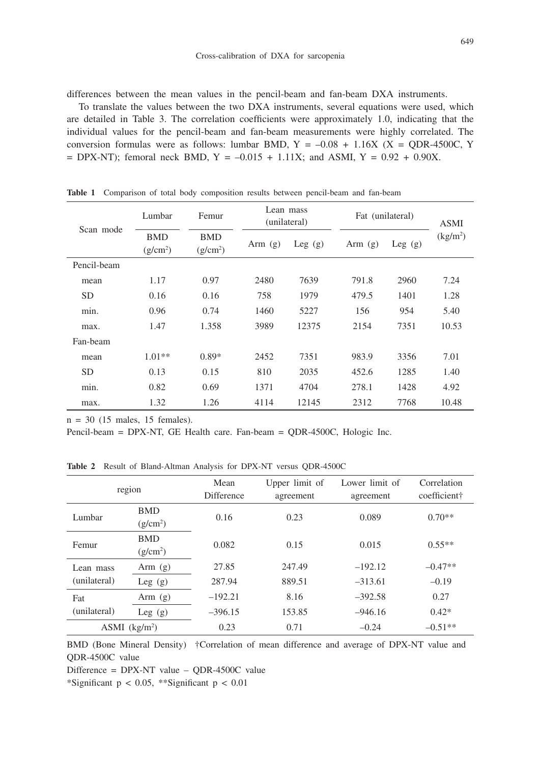differences between the mean values in the pencil-beam and fan-beam DXA instruments.

To translate the values between the two DXA instruments, several equations were used, which are detailed in Table 3. The correlation coefficients were approximately 1.0, indicating that the individual values for the pencil-beam and fan-beam measurements were highly correlated. The conversion formulas were as follows: lumbar BMD,  $Y = -0.08 + 1.16X$  (X = QDR-4500C, Y  $=$  DPX-NT); femoral neck BMD, Y = -0.015 + 1.11X; and ASMI, Y = 0.92 + 0.90X.

| Scan mode   | Lumbar               | Femur      | Lean mass<br>(unilateral) |           | Fat (unilateral) |           | <b>ASMI</b>          |
|-------------|----------------------|------------|---------------------------|-----------|------------------|-----------|----------------------|
|             | <b>BMD</b>           | <b>BMD</b> | Arm $(g)$                 | Leg $(g)$ | Arm $(g)$        | Leg $(g)$ | (kg/m <sup>2</sup> ) |
|             | (g/cm <sup>2</sup> ) | $(g/cm^2)$ |                           |           |                  |           |                      |
| Pencil-beam |                      |            |                           |           |                  |           |                      |
| mean        | 1.17                 | 0.97       | 2480                      | 7639      | 791.8            | 2960      | 7.24                 |
| <b>SD</b>   | 0.16                 | 0.16       | 758                       | 1979      | 479.5            | 1401      | 1.28                 |
| min.        | 0.96                 | 0.74       | 1460                      | 5227      | 156              | 954       | 5.40                 |
| max.        | 1.47                 | 1.358      | 3989                      | 12375     | 2154             | 7351      | 10.53                |
| Fan-beam    |                      |            |                           |           |                  |           |                      |
| mean        | $1.01**$             | $0.89*$    | 2452                      | 7351      | 983.9            | 3356      | 7.01                 |
| <b>SD</b>   | 0.13                 | 0.15       | 810                       | 2035      | 452.6            | 1285      | 1.40                 |
| min.        | 0.82                 | 0.69       | 1371                      | 4704      | 278.1            | 1428      | 4.92                 |
| max.        | 1.32                 | 1.26       | 4114                      | 12145     | 2312             | 7768      | 10.48                |

**Table 1** Comparison of total body composition results between pencil-beam and fan-beam

 $n = 30$  (15 males, 15 females).

Pencil-beam = DPX-NT, GE Health care. Fan-beam = QDR-4500C, Hologic Inc.

**Table 2** Result of Bland-Altman Analysis for DPX-NT versus QDR-4500C

| region                      |                                    | Mean<br><b>Difference</b> | Upper limit of<br>agreement | Lower limit of<br>agreement | Correlation<br>coefficient† |
|-----------------------------|------------------------------------|---------------------------|-----------------------------|-----------------------------|-----------------------------|
| Lumbar                      | <b>BMD</b><br>(g/cm <sup>2</sup> ) | 0.16                      | 0.23                        | 0.089                       | $0.70**$                    |
| Femur                       | <b>BMD</b><br>(g/cm <sup>2</sup> ) | 0.082                     | 0.15                        | 0.015                       | $0.55**$                    |
| Lean mass<br>(unilateral)   | Arm $(g)$                          | 27.85                     | 247.49                      | $-192.12$                   | $-0.47**$                   |
|                             | Leg $(g)$                          | 287.94                    | 889.51                      | $-313.61$                   | $-0.19$                     |
| Fat<br>(unilateral)         | Arm $(g)$                          | $-192.21$                 | 8.16                        | $-392.58$                   | 0.27                        |
|                             | Leg $(g)$                          | $-396.15$                 | 153.85                      | $-946.16$                   | $0.42*$                     |
| $ASMI$ (kg/m <sup>2</sup> ) |                                    | 0.23                      | 0.71                        | $-0.24$                     | $-0.51**$                   |

BMD (Bone Mineral Density) †Correlation of mean difference and average of DPX-NT value and QDR-4500C value

Difference = DPX-NT value – QDR-4500C value

\*Significant  $p < 0.05$ , \*\*Significant  $p < 0.01$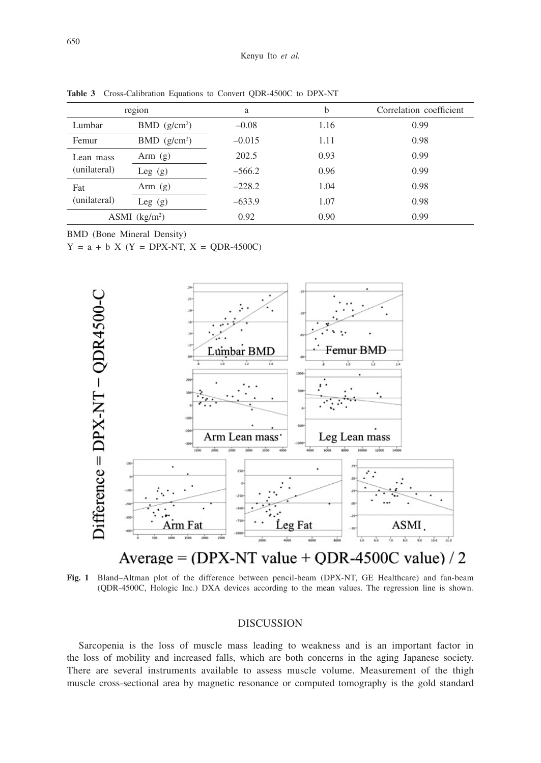| region                     |          | b         | Correlation coefficient |
|----------------------------|----------|-----------|-------------------------|
| $BMD$ (g/cm <sup>2</sup> ) | $-0.08$  | 1.16      | 0.99                    |
| $BMD$ (g/cm <sup>2</sup> ) | $-0.015$ | 1.11      | 0.98                    |
| Arm $(g)$                  | 202.5    | 0.93      | 0.99                    |
| Leg $(g)$                  | $-566.2$ | 0.96      | 0.99                    |
| Arm $(g)$                  | $-228.2$ | 1.04      | 0.98                    |
| Leg $(g)$                  | $-633.9$ | 1.07      | 0.98                    |
| ASMI $(kg/m2)$             |          | 0.90      | 0.99                    |
|                            |          | a<br>0.92 |                         |

**Table 3** Cross-Calibration Equations to Convert QDR-4500C to DPX-NT

BMD (Bone Mineral Density)

 $Y = a + b X (Y = DPX-NT, X = ODR-4500C)$ 



Average =  $(DPX-NT value + QDR-4500C value) / 2$ 

**Fig. 1** Bland–Altman plot of the difference between pencil-beam (DPX-NT, GE Healthcare) and fan-beam (QDR-4500C, Hologic Inc.) DXA devices according to the mean values. The regression line is shown.

## DISCUSSION

Sarcopenia is the loss of muscle mass leading to weakness and is an important factor in the loss of mobility and increased falls, which are both concerns in the aging Japanese society. There are several instruments available to assess muscle volume. Measurement of the thigh muscle cross-sectional area by magnetic resonance or computed tomography is the gold standard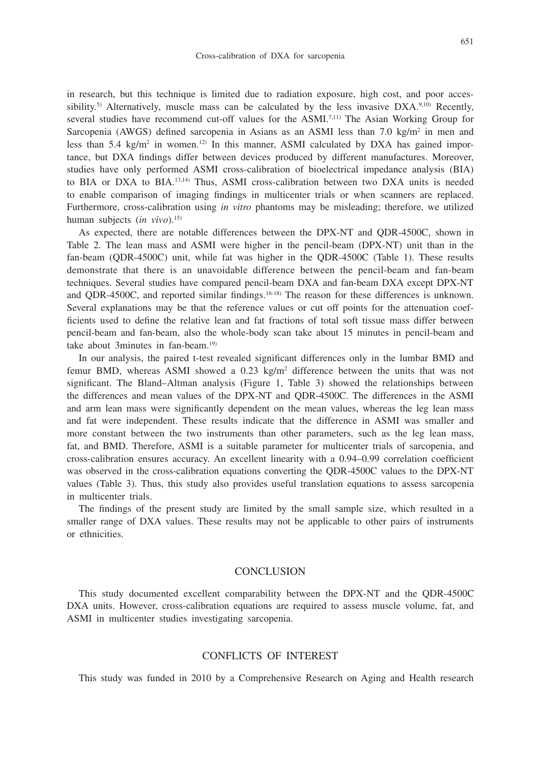in research, but this technique is limited due to radiation exposure, high cost, and poor accessibility.<sup>5)</sup> Alternatively, muscle mass can be calculated by the less invasive  $DXA<sub>1</sub><sup>9,10</sup>$  Recently, several studies have recommend cut-off values for the ASMI.7,11) The Asian Working Group for Sarcopenia (AWGS) defined sarcopenia in Asians as an ASMI less than 7.0 kg/m<sup>2</sup> in men and less than 5.4 kg/m<sup>2</sup> in women.<sup>12</sup> In this manner, ASMI calculated by DXA has gained importance, but DXA findings differ between devices produced by different manufactures. Moreover, studies have only performed ASMI cross-calibration of bioelectrical impedance analysis (BIA) to BIA or DXA to BIA.13,14) Thus, ASMI cross-calibration between two DXA units is needed to enable comparison of imaging findings in multicenter trials or when scanners are replaced. Furthermore, cross-calibration using *in vitro* phantoms may be misleading; therefore, we utilized human subjects (*in vivo*).15)

As expected, there are notable differences between the DPX-NT and QDR-4500C, shown in Table 2. The lean mass and ASMI were higher in the pencil-beam (DPX-NT) unit than in the fan-beam (QDR-4500C) unit, while fat was higher in the QDR-4500C (Table 1). These results demonstrate that there is an unavoidable difference between the pencil-beam and fan-beam techniques. Several studies have compared pencil-beam DXA and fan-beam DXA except DPX-NT and QDR-4500C, and reported similar findings.<sup>16-18)</sup> The reason for these differences is unknown. Several explanations may be that the reference values or cut off points for the attenuation coefficients used to define the relative lean and fat fractions of total soft tissue mass differ between pencil-beam and fan-beam, also the whole-body scan take about 15 minutes in pencil-beam and take about 3minutes in fan-beam.19)

In our analysis, the paired t-test revealed significant differences only in the lumbar BMD and femur BMD, whereas ASMI showed a  $0.23 \text{ kg/m}^2$  difference between the units that was not significant. The Bland–Altman analysis (Figure 1, Table 3) showed the relationships between the differences and mean values of the DPX-NT and QDR-4500C. The differences in the ASMI and arm lean mass were significantly dependent on the mean values, whereas the leg lean mass and fat were independent. These results indicate that the difference in ASMI was smaller and more constant between the two instruments than other parameters, such as the leg lean mass, fat, and BMD. Therefore, ASMI is a suitable parameter for multicenter trials of sarcopenia, and cross-calibration ensures accuracy. An excellent linearity with a 0.94–0.99 correlation coefficient was observed in the cross-calibration equations converting the QDR-4500C values to the DPX-NT values (Table 3). Thus, this study also provides useful translation equations to assess sarcopenia in multicenter trials.

The findings of the present study are limited by the small sample size, which resulted in a smaller range of DXA values. These results may not be applicable to other pairs of instruments or ethnicities.

## **CONCLUSION**

This study documented excellent comparability between the DPX-NT and the QDR-4500C DXA units. However, cross-calibration equations are required to assess muscle volume, fat, and ASMI in multicenter studies investigating sarcopenia.

# CONFLICTS OF INTEREST

This study was funded in 2010 by a Comprehensive Research on Aging and Health research